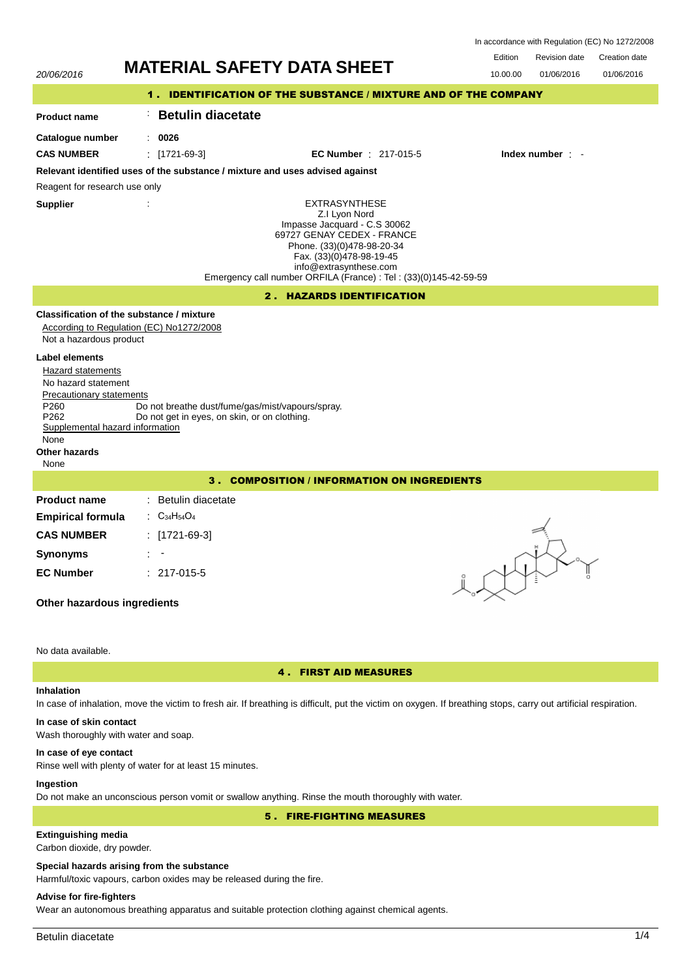| In accordance with Regulation (EC) No 1272/2008 |  |  |  |
|-------------------------------------------------|--|--|--|
|-------------------------------------------------|--|--|--|

# 20/06/2016 **MATERIAL SAFETY DATA SHEET** 10.00.00 01/06/2016 Edition Revision date Creation date 01/06/2016 1 . IDENTIFICATION OF THE SUBSTANCE / MIXTURE AND OF THE COMPANY **Product name Catalogue number** : : **0026 Betulin diacetate** EXTRASYNTHESE Z.I Lyon Nord Impasse Jacquard - C.S 30062 69727 GENAY CEDEX - FRANCE Phone. (33)(0)478-98-20-34 Fax. (33)(0)478-98-19-45 info@extrasynthese.com Emergency call number ORFILA (France) : Tel : (33)(0)145-42-59-59 **Supplier** : **Relevant identified uses of the substance / mixture and uses advised against** Reagent for research use only **CAS NUMBER** : [1721-69-3] **EC Number** : 217-015-5 **Index number** : - 2 . HAZARDS IDENTIFICATION **Classification of the substance / mixture** According to Regulation (EC) No1272/2008 Not a hazardous product **Label elements** Hazard statements No hazard statement Precautionary statements P260 Do not breathe dust/fume/gas/mist/vapours/spray.<br>P262 Do not get in eves, on skin, or on clothing. Do not get in eyes, on skin, or on clothing. Supplemental hazard information None **Other hazards** None 3 . COMPOSITION / INFORMATION ON INGREDIENTS **Product name Empirical formula** : Betulin diacetate : C34H54O<sup>4</sup> **CAS NUMBER** : [1721-69-3] **Synonyms** : - **EC Number** : 217-015-5 **Other hazardous ingredients** No data available. 4 . FIRST AID MEASURES

### **Inhalation**

# In case of inhalation, move the victim to fresh air. If breathing is difficult, put the victim on oxygen. If breathing stops, carry out artificial respiration.

# **In case of skin contact**

Wash thoroughly with water and soap.

# **In case of eye contact**

Rinse well with plenty of water for at least 15 minutes.

# **Ingestion**

Do not make an unconscious person vomit or swallow anything. Rinse the mouth thoroughly with water.

5 . FIRE-FIGHTING MEASURES

# **Extinguishing media**

Carbon dioxide, dry powder.

# **Special hazards arising from the substance**

Harmful/toxic vapours, carbon oxides may be released during the fire.

# **Advise for fire-fighters**

Wear an autonomous breathing apparatus and suitable protection clothing against chemical agents.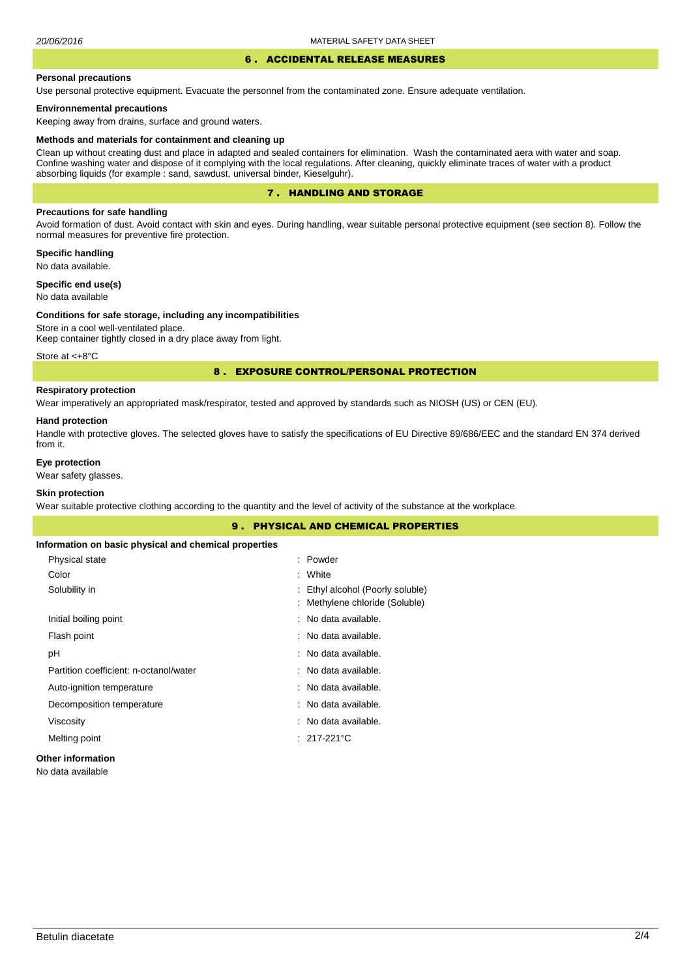### 6 . ACCIDENTAL RELEASE MEASURES

#### **Personal precautions**

Use personal protective equipment. Evacuate the personnel from the contaminated zone. Ensure adequate ventilation.

### **Environnemental precautions**

Keeping away from drains, surface and ground waters.

#### **Methods and materials for containment and cleaning up**

Clean up without creating dust and place in adapted and sealed containers for elimination. Wash the contaminated aera with water and soap. Confine washing water and dispose of it complying with the local regulations. After cleaning, quickly eliminate traces of water with a product absorbing liquids (for example : sand, sawdust, universal binder, Kieselguhr).

### 7 . HANDLING AND STORAGE

### **Precautions for safe handling**

Avoid formation of dust. Avoid contact with skin and eyes. During handling, wear suitable personal protective equipment (see section 8). Follow the normal measures for preventive fire protection.

**Specific handling** No data available.

**Specific end use(s)**

# No data available

#### **Conditions for safe storage, including any incompatibilities**

Store in a cool well-ventilated place. Keep container tightly closed in a dry place away from light.

Store at <+8°C

### 8 . EXPOSURE CONTROL/PERSONAL PROTECTION

### **Respiratory protection**

Wear imperatively an appropriated mask/respirator, tested and approved by standards such as NIOSH (US) or CEN (EU).

#### **Hand protection**

Handle with protective gloves. The selected gloves have to satisfy the specifications of EU Directive 89/686/EEC and the standard EN 374 derived from it.

### **Eye protection**

Wear safety glasses.

### **Skin protection**

Wear suitable protective clothing according to the quantity and the level of activity of the substance at the workplace.

|                                                       | <b>9. PHYSICAL AND CHEMICAL PROPERTIES</b> |
|-------------------------------------------------------|--------------------------------------------|
| Information on basic physical and chemical properties |                                            |
| Physical state                                        | : Powder                                   |
| Color                                                 | : White                                    |
| Solubility in                                         | Ethyl alcohol (Poorly soluble)             |
|                                                       | : Methylene chloride (Soluble)             |
| Initial boiling point                                 | : No data available.                       |
| Flash point                                           | : No data available.                       |
| рH                                                    | : No data available.                       |
| Partition coefficient: n-octanol/water                | : No data available.                       |
| Auto-ignition temperature                             | : No data available.                       |
| Decomposition temperature                             | : No data available.                       |
| Viscosity                                             | : No data available.                       |
| Melting point                                         | $: 217-221^{\circ}$ C                      |
| <b>Other information</b>                              |                                            |

#### No data available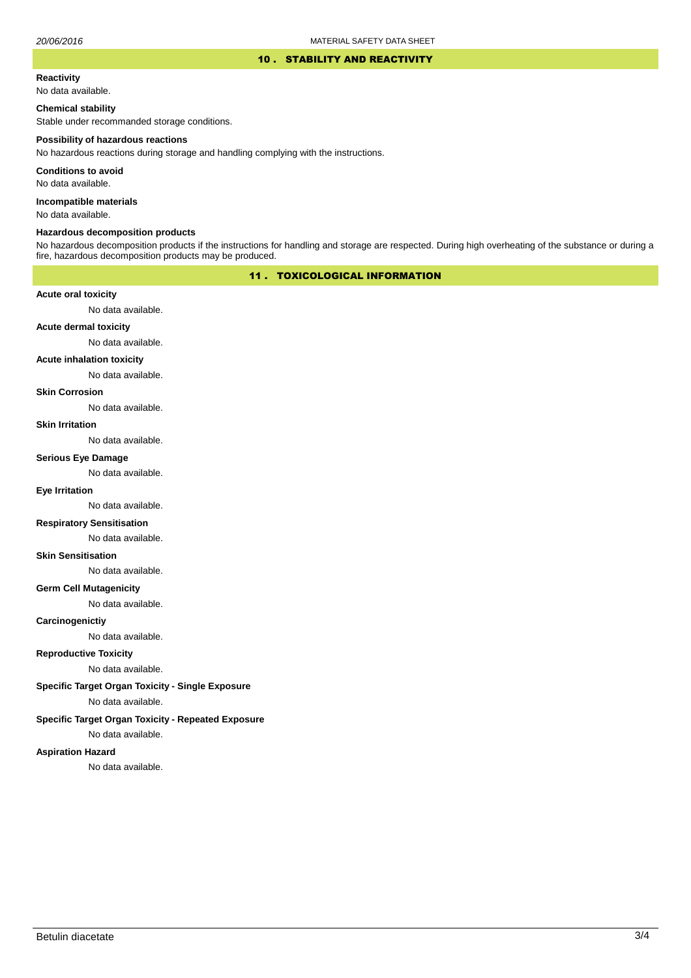#### 10 . STABILITY AND REACTIVITY

#### **Reactivity**

No data available.

### **Chemical stability**

Stable under recommanded storage conditions.

#### **Possibility of hazardous reactions**

No hazardous reactions during storage and handling complying with the instructions.

**Conditions to avoid**

No data available.

**Incompatible materials**

No data available.

### **Hazardous decomposition products**

No hazardous decomposition products if the instructions for handling and storage are respected. During high overheating of the substance or during a fire, hazardous decomposition products may be produced.

### 11 . TOXICOLOGICAL INFORMATION

### **Acute oral toxicity**

No data available.

# **Acute dermal toxicity**

No data available.

#### **Acute inhalation toxicity**

No data available.

### **Skin Corrosion**

No data available.

#### **Skin Irritation**

No data available.

# **Serious Eye Damage**

No data available.

## **Eye Irritation**

No data available.

### **Respiratory Sensitisation**

No data available.

#### **Skin Sensitisation**

No data available.

### **Germ Cell Mutagenicity**

No data available.

### **Carcinogenictiy**

No data available.

### **Reproductive Toxicity**

No data available.

### **Specific Target Organ Toxicity - Single Exposure**

No data available.

### **Specific Target Organ Toxicity - Repeated Exposure**

No data available.

#### **Aspiration Hazard**

No data available.